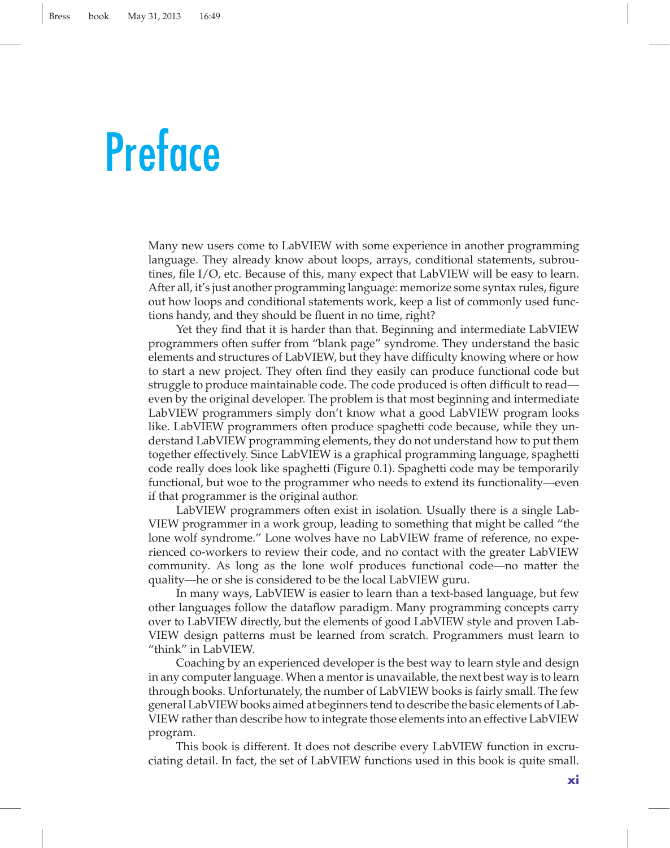## **Preface**

Many new users come to LabVIEW with some experience in another programming language. They already know about loops, arrays, conditional statements, subroutines, file I/O, etc. Because of this, many expect that LabVIEW will be easy to learn. After all, it's just another programming language: memorize some syntax rules, figure out how loops and conditional statements work, keep a list of commonly used functions handy, and they should be fluent in no time, right?

Yet they find that it is harder than that. Beginning and intermediate LabVIEW programmers often suffer from "blank page" syndrome. They understand the basic elements and structures of LabVIEW, but they have difficulty knowing where or how to start a new project. They often find they easily can produce functional code but struggle to produce maintainable code. The code produced is often difficult to read even by the original developer. The problem is that most beginning and intermediate LabVIEW programmers simply don't know what a good LabVIEW program looks like. LabVIEW programmers often produce spaghetti code because, while they understand LabVIEW programming elements, they do not understand how to put them together effectively. Since LabVIEW is a graphical programming language, spaghetti code really does look like spaghetti (Figure 0.1). Spaghetti code may be temporarily functional, but woe to the programmer who needs to extend its functionality—even if that programmer is the original author.

LabVIEW programmers often exist in isolation. Usually there is a single Lab-VIEW programmer in a work group, leading to something that might be called "the lone wolf syndrome." Lone wolves have no LabVIEW frame of reference, no experienced co-workers to review their code, and no contact with the greater LabVIEW community. As long as the lone wolf produces functional code—no matter the quality—he or she is considered to be the local LabVIEW guru.

In many ways, LabVIEW is easier to learn than a text-based language, but few other languages follow the dataflow paradigm. Many programming concepts carry over to LabVIEW directly, but the elements of good LabVIEW style and proven Lab-VIEW design patterns must be learned from scratch. Programmers must learn to "think" in LabVIEW.

Coaching by an experienced developer is the best way to learn style and design in any computer language. When a mentor is unavailable, the next best way is to learn through books. Unfortunately, the number of LabVIEW books is fairly small. The few general LabVIEW books aimed at beginners tend to describe the basic elements of Lab-VIEW rather than describe how to integrate those elements into an effective LabVIEW program.

This book is different. It does not describe every LabVIEW function in excruciating detail. In fact, the set of LabVIEW functions used in this book is quite small.